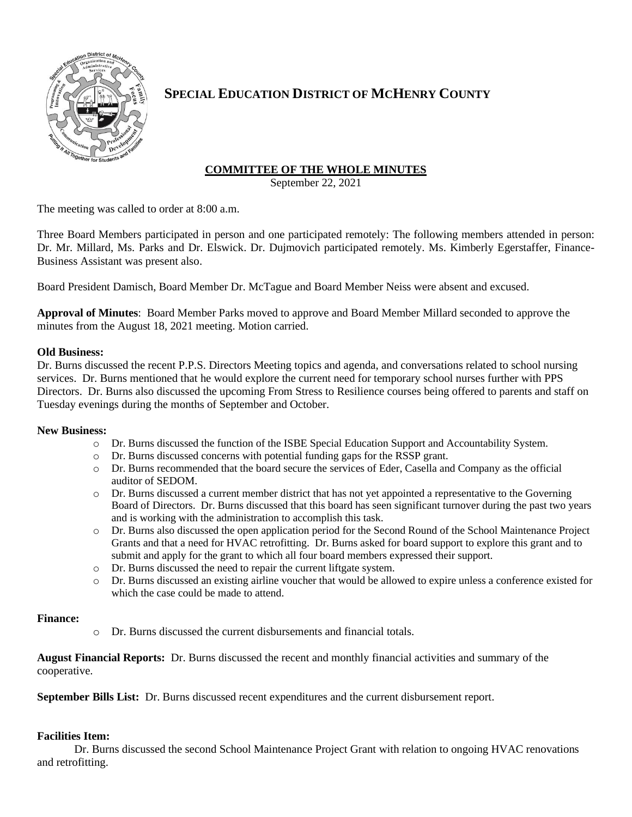

# **SPECIAL EDUCATION DISTRICT OF MCHENRY COUNTY**

## **COMMITTEE OF THE WHOLE MINUTES**

September 22, 2021

The meeting was called to order at 8:00 a.m.

Three Board Members participated in person and one participated remotely: The following members attended in person: Dr. Mr. Millard, Ms. Parks and Dr. Elswick. Dr. Dujmovich participated remotely. Ms. Kimberly Egerstaffer, Finance-Business Assistant was present also.

Board President Damisch, Board Member Dr. McTague and Board Member Neiss were absent and excused.

**Approval of Minutes**: Board Member Parks moved to approve and Board Member Millard seconded to approve the minutes from the August 18, 2021 meeting. Motion carried.

### **Old Business:**

Dr. Burns discussed the recent P.P.S. Directors Meeting topics and agenda, and conversations related to school nursing services. Dr. Burns mentioned that he would explore the current need for temporary school nurses further with PPS Directors. Dr. Burns also discussed the upcoming From Stress to Resilience courses being offered to parents and staff on Tuesday evenings during the months of September and October.

#### **New Business:**

- o Dr. Burns discussed the function of the ISBE Special Education Support and Accountability System.
- o Dr. Burns discussed concerns with potential funding gaps for the RSSP grant.
- o Dr. Burns recommended that the board secure the services of Eder, Casella and Company as the official auditor of SEDOM.
- o Dr. Burns discussed a current member district that has not yet appointed a representative to the Governing Board of Directors. Dr. Burns discussed that this board has seen significant turnover during the past two years and is working with the administration to accomplish this task.
- o Dr. Burns also discussed the open application period for the Second Round of the School Maintenance Project Grants and that a need for HVAC retrofitting. Dr. Burns asked for board support to explore this grant and to submit and apply for the grant to which all four board members expressed their support.
- o Dr. Burns discussed the need to repair the current liftgate system.
- o Dr. Burns discussed an existing airline voucher that would be allowed to expire unless a conference existed for which the case could be made to attend.

#### **Finance:**

o Dr. Burns discussed the current disbursements and financial totals.

**August Financial Reports:** Dr. Burns discussed the recent and monthly financial activities and summary of the cooperative.

**September Bills List:** Dr. Burns discussed recent expenditures and the current disbursement report.

#### **Facilities Item:**

Dr. Burns discussed the second School Maintenance Project Grant with relation to ongoing HVAC renovations and retrofitting.